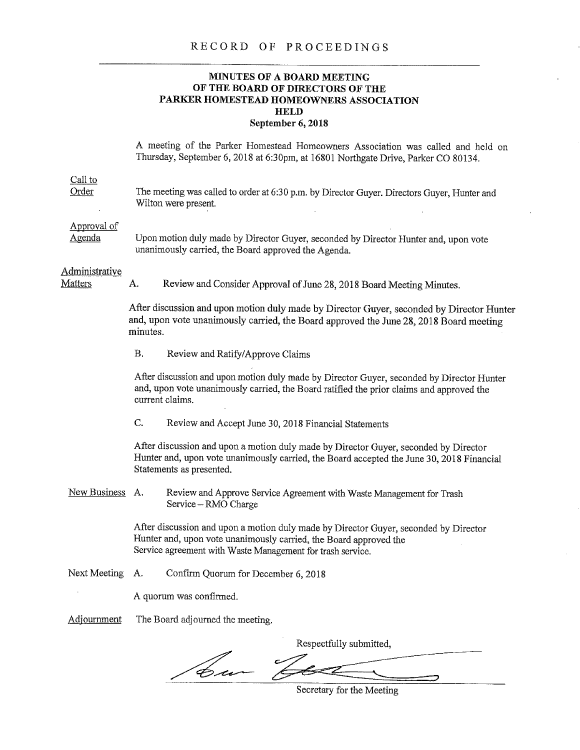## RECORD OF PROCEEDINGS

## **MINUTES OF A BOARD MEETING OF THE BOARD OF DIRECTORS OF THE PARKER HOMESTEAD HOMEOWNERS ASSOCIATION HELD September 6, 2018**

A meeting of the Parker Homestead Homeowners Association was called and held on Thursday, September 6, 2018 at 6:30pm, at 16801 Northgate Drive, Parker CO 80134.

| $Call$ to<br>Order               | The meeting was called to order at 6:30 p.m. by Director Guyer. Directors Guyer, Hunter and<br>Wilton were present.                                                                                                     |                                                                                                                                                                                                               |  |
|----------------------------------|-------------------------------------------------------------------------------------------------------------------------------------------------------------------------------------------------------------------------|---------------------------------------------------------------------------------------------------------------------------------------------------------------------------------------------------------------|--|
| Approval of<br><u>Agenda</u>     | Upon motion duly made by Director Guyer, seconded by Director Hunter and, upon vote<br>unanimously carried, the Board approved the Agenda.                                                                              |                                                                                                                                                                                                               |  |
| Administrative<br><b>Matters</b> | А.                                                                                                                                                                                                                      | Review and Consider Approval of June 28, 2018 Board Meeting Minutes.                                                                                                                                          |  |
|                                  | After discussion and upon motion duly made by Director Guyer, seconded by Director Hunter<br>and, upon vote unanimously carried, the Board approved the June 28, 2018 Board meeting<br>minutes.                         |                                                                                                                                                                                                               |  |
|                                  | Β.                                                                                                                                                                                                                      | Review and Ratify/Approve Claims                                                                                                                                                                              |  |
|                                  |                                                                                                                                                                                                                         | After discussion and upon motion duly made by Director Guyer, seconded by Director Hunter<br>and, upon vote unanimously carried, the Board ratified the prior claims and approved the<br>current claims.      |  |
|                                  | C.                                                                                                                                                                                                                      | Review and Accept June 30, 2018 Financial Statements                                                                                                                                                          |  |
|                                  |                                                                                                                                                                                                                         | After discussion and upon a motion duly made by Director Guyer, seconded by Director<br>Hunter and, upon vote unanimously carried, the Board accepted the June 30, 2018 Financial<br>Statements as presented. |  |
| New Business A.                  |                                                                                                                                                                                                                         | Review and Approve Service Agreement with Waste Management for Trash<br>Service - RMO Charge                                                                                                                  |  |
|                                  | After discussion and upon a motion duly made by Director Guyer, seconded by Director<br>Hunter and, upon vote unanimously carried, the Board approved the<br>Service agreement with Waste Management for trash service. |                                                                                                                                                                                                               |  |
| Next Meeting                     | Α.                                                                                                                                                                                                                      | Confirm Quorum for December 6, 2018                                                                                                                                                                           |  |
|                                  |                                                                                                                                                                                                                         | A quorum was confirmed.                                                                                                                                                                                       |  |
| Adjournment                      | The Board adjourned the meeting.                                                                                                                                                                                        |                                                                                                                                                                                                               |  |
|                                  |                                                                                                                                                                                                                         | Respectfully submitted,                                                                                                                                                                                       |  |
|                                  |                                                                                                                                                                                                                         |                                                                                                                                                                                                               |  |

bu-っ

Secretary for the Meeting